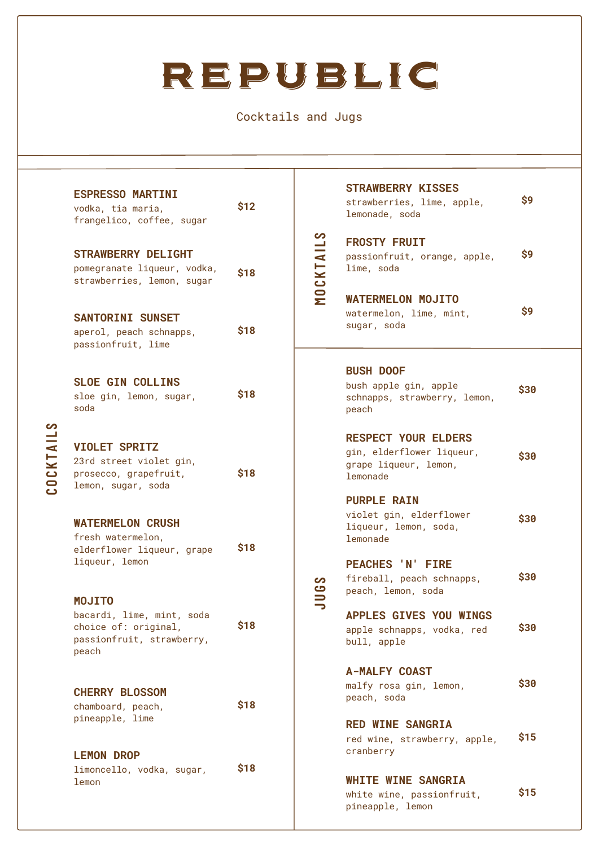## REPUBLIC

Cocktails and Jugs

| COCKTAILS | <b>ESPRESSO MARTINI</b><br>vodka, tia maria,<br>frangelico, coffee, sugar                      | \$12 | တ<br>MOCKTAIL   | <b>STRAWBERRY KISSES</b><br>strawberries, lime, apple,<br>lemonade, soda                     | \$9  |
|-----------|------------------------------------------------------------------------------------------------|------|-----------------|----------------------------------------------------------------------------------------------|------|
|           | <b>STRAWBERRY DELIGHT</b><br>pomegranate liqueur, vodka,<br>strawberries, lemon, sugar         | \$18 |                 | <b>FROSTY FRUIT</b><br>passionfruit, orange, apple,<br>lime, soda                            | \$9  |
|           | <b>SANTORINI SUNSET</b><br>aperol, peach schnapps,<br>passionfruit, lime                       | \$18 |                 | <b>WATERMELON MOJITO</b><br>watermelon, lime, mint,<br>sugar, soda                           | \$9  |
|           | <b>SLOE GIN COLLINS</b><br>sloe gin, lemon, sugar,<br>soda                                     | \$18 | တ<br><b>JUG</b> | <b>BUSH DOOF</b><br>bush apple gin, apple<br>schnapps, strawberry, lemon,<br>peach           | \$30 |
|           | <b>VIOLET SPRITZ</b><br>23rd street violet gin,<br>prosecco, grapefruit,<br>lemon, sugar, soda | \$18 |                 | <b>RESPECT YOUR ELDERS</b><br>gin, elderflower liqueur,<br>grape liqueur, lemon,<br>lemonade | \$30 |
|           | <b>WATERMELON CRUSH</b><br>fresh watermelon,<br>elderflower liqueur, grape                     | \$18 |                 | <b>PURPLE RAIN</b><br>violet gin, elderflower<br>liqueur, lemon, soda,<br>lemonade           | \$30 |
|           | liqueur, lemon<br><b>MOJITO</b>                                                                |      |                 | <b>PEACHES 'N' FIRE</b><br>fireball, peach schnapps,<br>peach, lemon, soda                   | \$30 |
|           | bacardi, lime, mint, soda<br>choice of: original,<br>passionfruit, strawberry,<br>peach        | \$18 |                 | <b>APPLES GIVES YOU WINGS</b><br>apple schnapps, vodka, red<br>bull, apple                   | \$30 |
|           | <b>CHERRY BLOSSOM</b><br>chamboard, peach,                                                     | \$18 |                 | <b>A-MALFY COAST</b><br>malfy rosa gin, lemon,<br>peach, soda                                | \$30 |
|           | pineapple, lime<br><b>LEMON DROP</b>                                                           |      |                 | <b>RED WINE SANGRIA</b><br>red wine, strawberry, apple,<br>cranberry                         | \$15 |
|           | limoncello, vodka, sugar,<br>lemon                                                             | \$18 |                 | <b>WHITE WINE SANGRIA</b><br>white wine, passionfruit,<br>pineapple, lemon                   | \$15 |
|           |                                                                                                |      |                 |                                                                                              |      |